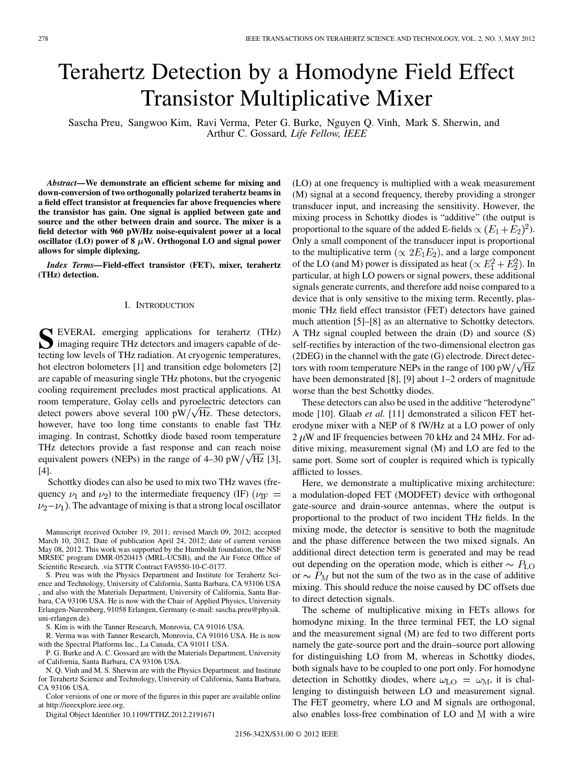# Terahertz Detection by a Homodyne Field Effect Transistor Multiplicative Mixer

Sascha Preu, Sangwoo Kim, Ravi Verma, Peter G. Burke, Nguyen Q. Vinh, Mark S. Sherwin, and Arthur C. Gossard*, Life Fellow, IEEE*

*Abstract—***We demonstrate an efficient scheme for mixing and down-conversion of two orthogonally polarized terahertz beams in a field effect transistor at frequencies far above frequencies where the transistor has gain. One signal is applied between gate and source and the other between drain and source. The mixer is a field detector with 960 pW/Hz noise-equivalent power at a local** oscillator  $(LO)$  power of  $8 \mu W$ . Orthogonal  $LO$  and signal power **allows for simple diplexing.**

*Index Terms—***Field-effect transistor (FET), mixer, terahertz (THz) detection.**

## I. INTRODUCTION

**S** EVERAL emerging applications for terahertz (THz) imaging require THz detectors and imagers capable of detecting low levels of THz radiation. At cryogenic temperatures, hot electron bolometers [1] and transition edge bolometers [2] are capable of measuring single THz photons, but the cryogenic cooling requirement precludes most practical applications. At room temperature, Golay cells and pyroelectric detectors can detect powers above several 100 pW/ $\sqrt{Hz}$ . These detectors, however, have too long time constants to enable fast THz imaging. In contrast, Schottky diode based room temperature THz detectors provide a fast response and can reach noise equivalent powers (NEPs) in the range of 4–30 pW/ $\sqrt{Hz}$  [3], [4].

Schottky diodes can also be used to mix two THz waves (frequency  $\nu_1$  and  $\nu_2$ ) to the intermediate frequency (IF) ( $\nu_{\text{IF}} =$  $\nu_2-\nu_1$ ). The advantage of mixing is that a strong local oscillator

Manuscript received October 19, 2011; revised March 09, 2012; accepted March 10, 2012. Date of publication April 24, 2012; date of current version May 08, 2012. This work was supported by the Humboldt foundation, the NSF MRSEC program DMR-0520415 (MRL-UCSB), and the Air Force Office of Scientific Research, .via STTR Contract FA9550-10-C-0177.

S. Preu was with the Physics Department and Institute for Terahertz Science and Technology, University of California, Santa Barbara, CA 93106 USA , and also with the Materials Department, University of California, Santa Barbara, CA 93106 USA. He is now with the Chair of Applied Physics, University Erlangen-Nuremberg, 91058 Erlangen, Germany (e-mail: sascha.preu@physik. uni-erlangen.de).

S. Kim is with the Tanner Research, Monrovia, CA 91016 USA.

R. Verma was with Tanner Research, Monrovia, CA 91016 USA. He is now with the Spectral Platforms Inc., La Canada, CA 91011 USA.

P. G. Burke and A. C. Gossard are with the Materials Department, University of California, Santa Barbara, CA 93106 USA.

N. Q. Vinh and M. S. Sherwin are with the Physics Department. and Institute for Terahertz Science and Technology, University of California, Santa Barbara, CA 93106 USA.

Color versions of one or more of the figures in this paper are available online at http://ieeexplore.ieee.org.

Digital Object Identifier 10.1109/TTHZ.2012.2191671

(LO) at one frequency is multiplied with a weak measurement (M) signal at a second frequency, thereby providing a stronger transducer input, and increasing the sensitivity. However, the mixing process in Schottky diodes is "additive" (the output is proportional to the square of the added E-fields  $\propto (E_1 + E_2)^2$ . Only a small component of the transducer input is proportional to the multiplicative term ( $\propto 2E_1E_2$ ), and a large component of the LO (and M) power is dissipated as heat ( $\propto E_1^2 + E_2^2$ ). In particular, at high LO powers or signal powers, these additional signals generate currents, and therefore add noise compared to a device that is only sensitive to the mixing term. Recently, plasmonic THz field effect transistor (FET) detectors have gained much attention [5]–[8] as an alternative to Schottky detectors. A THz signal coupled between the drain (D) and source (S) self-rectifies by interaction of the two-dimensional electron gas (2DEG) in the channel with the gate (G) electrode. Direct detectors with room temperature NEPs in the range of 100 pW/ $\sqrt{Hz}$ have been demonstrated [8], [9] about 1–2 orders of magnitude worse than the best Schottky diodes.

These detectors can also be used in the additive "heterodyne" mode [10]. Glaab *et al.* [11] demonstrated a silicon FET heterodyne mixer with a NEP of 8 fW/Hz at a LO power of only  $2 \mu$ W and IF frequencies between 70 kHz and 24 MHz. For additive mixing, measurement signal (M) and LO are fed to the same port. Some sort of coupler is required which is typically afflicted to losses.

Here, we demonstrate a multiplicative mixing architecture: a modulation-doped FET (MODFET) device with orthogonal gate-source and drain-source antennas, where the output is proportional to the product of two incident THz fields. In the mixing mode, the detector is sensitive to both the magnitude and the phase difference between the two mixed signals. An additional direct detection term is generated and may be read out depending on the operation mode, which is either  $\sim P_{\text{LO}}$ or  $\sim P_M$  but not the sum of the two as in the case of additive mixing. This should reduce the noise caused by DC offsets due to direct detection signals.

The scheme of multiplicative mixing in FETs allows for homodyne mixing. In the three terminal FET, the LO signal and the measurement signal (M) are fed to two different ports namely the gate-source port and the drain–source port allowing for distinguishing LO from M, whereas in Schottky diodes, both signals have to be coupled to one port only. For homodyne detection in Schottky diodes, where  $\omega_{\text{LO}} = \omega_{\text{M}}$ , it is challenging to distinguish between LO and measurement signal. The FET geometry, where LO and M signals are orthogonal, also enables loss-free combination of LO and M with a wire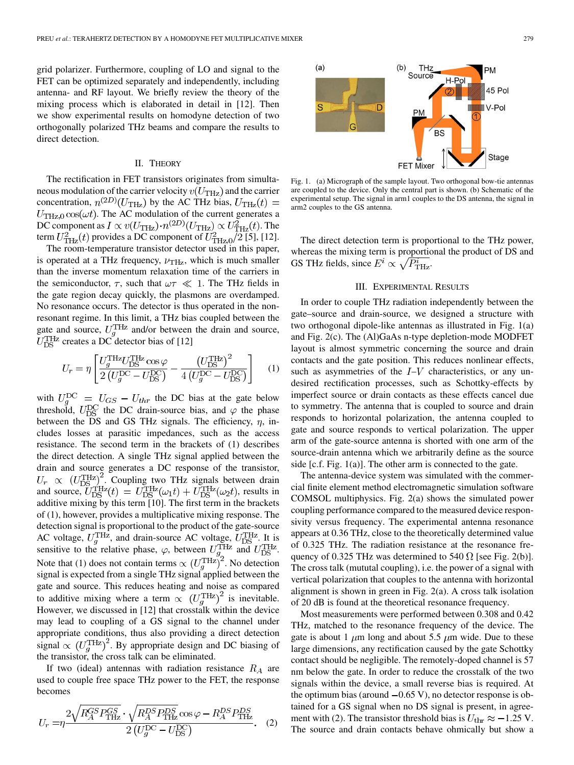grid polarizer. Furthermore, coupling of LO and signal to the FET can be optimized separately and independently, including antenna- and RF layout. We briefly review the theory of the mixing process which is elaborated in detail in [12]. Then we show experimental results on homodyne detection of two orthogonally polarized THz beams and compare the results to direct detection.

## II. THEORY

The rectification in FET transistors originates from simultaneous modulation of the carrier velocity  $v(U_{\text{THz}})$  and the carrier concentration,  $n^{(2D)}(U_{\text{THz}})$  by the AC THz bias,  $U_{\text{THz}}(t)$  =  $U_{\text{THz},0} \cos(\omega t)$ . The AC modulation of the current generates a DC component as  $I \propto v(U_{\text{THz}}) \cdot n^{(2D)}(U_{\text{THz}}) \propto U_{\text{THz}}^2(t)$ . The term  $U_{\text{THz}}^2(t)$  provides a DC component of  $U_{\text{THz},0}^2/2$  [5], [12].

The room-temperature transistor detector used in this paper, is operated at a THz frequency,  $\nu_{\text{THz}}$ , which is much smaller than the inverse momentum relaxation time of the carriers in the semiconductor,  $\tau$ , such that  $\omega \tau \ll 1$ . The THz fields in the gate region decay quickly, the plasmons are overdamped. No resonance occurs. The detector is thus operated in the nonresonant regime. In this limit, a THz bias coupled between the gate and source,  $U_q^{\text{THz}}$  and/or between the drain and source, creates a DC detector bias of [12]

$$
U_r = \eta \left[ \frac{U_g^{\text{THz}} U_{\text{DS}}^{\text{THz}} \cos \varphi}{2 \left( U_g^{\text{DC}} - U_{\text{DS}}^{\text{DC}} \right)} - \frac{\left( U_{\text{DS}}^{\text{THz}} \right)^2}{4 \left( U_g^{\text{DC}} - U_{\text{DS}}^{\text{DC}} \right)} \right] \tag{1}
$$

with  $U_q^{DC} = U_{GS} - U_{thr}$  the DC bias at the gate below threshold,  $U_{DS}^{DC}$  the DC drain-source bias, and  $\varphi$  the phase between the DS and GS THz signals. The efficiency,  $\eta$ , includes losses at parasitic impedances, such as the access resistance. The second term in the brackets of (1) describes the direct detection. A single THz signal applied between the drain and source generates a DC response of the transistor, . Coupling two THz signals between drain and source,  $U_{DS}^{THz}(t) = U_{DS}^{THz}(\omega_1 t) + U_{DS}^{THz}(\omega_2 t)$ , results in additive mixing by this term [10]. The first term in the brackets of (1), however, provides a multiplicative mixing response. The detection signal is proportional to the product of the gate-source AC voltage,  $U_q^{\text{THz}}$ , and drain-source AC voltage,  $U_{DS}^{\text{THz}}$ . It is sensitive to the relative phase,  $\varphi$ , between  $U_q^{\text{THz}}$  and  $U_{\text{DS}}^{\text{THz}}$ . Note that (1) does not contain terms  $\propto (U_a^{\text{THz}})^2$ . No detection signal is expected from a single THz signal applied between the gate and source. This reduces heating and noise as compared to additive mixing where a term  $\propto (U_a^{\text{THz}})^2$  is inevitable. However, we discussed in [12] that crosstalk within the device may lead to coupling of a GS signal to the channel under appropriate conditions, thus also providing a direct detection signal  $\propto (U_q^{\text{THz}})^2$ . By appropriate design and DC biasing of the transistor, the cross talk can be eliminated.

If two (ideal) antennas with radiation resistance  $R_A$  are used to couple free space THz power to the FET, the response becomes

$$
U_r = \eta \frac{2\sqrt{R_A^{GS} P_{\text{THz}}^{GS}} \cdot \sqrt{R_A^{DS} P_{\text{THz}}^{DS}} \cos \varphi - R_A^{DS} P_{\text{THz}}^{DS}}{2\left(U_g^{\text{DC}} - U_{\text{DS}}^{\text{DC}}\right)}.
$$
 (2)



Fig. 1. (a) Micrograph of the sample layout. Two orthogonal bow-tie antennas are coupled to the device. Only the central part is shown. (b) Schematic of the experimental setup. The signal in arm1 couples to the DS antenna, the signal in arm2 couples to the GS antenna.

The direct detection term is proportional to the THz power, whereas the mixing term is proportional the product of DS and GS THz fields, since  $E^i \propto \sqrt{P_{\text{THz}}^i}$ .

## III. EXPERIMENTAL RESULTS

In order to couple THz radiation independently between the gate–source and drain-source, we designed a structure with two orthogonal dipole-like antennas as illustrated in Fig. 1(a) and Fig. 2(c). The (Al)GaAs n-type depletion-mode MODFET layout is almost symmetric concerning the source and drain contacts and the gate position. This reduces nonlinear effects, such as asymmetries of the  $I-V$  characteristics, or any undesired rectification processes, such as Schottky-effects by imperfect source or drain contacts as these effects cancel due to symmetry. The antenna that is coupled to source and drain responds to horizontal polarization, the antenna coupled to gate and source responds to vertical polarization. The upper arm of the gate-source antenna is shorted with one arm of the source-drain antenna which we arbitrarily define as the source side [c.f. Fig. 1(a)]. The other arm is connected to the gate.

The antenna-device system was simulated with the commercial finite element method electromagnetic simulation software COMSOL multiphysics. Fig. 2(a) shows the simulated power coupling performance compared to the measured device responsivity versus frequency. The experimental antenna resonance appears at 0.36 THz, close to the theoretically determined value of 0.325 THz. The radiation resistance at the resonance frequency of 0.325 THz was determined to 540  $\Omega$  [see Fig. 2(b)]. The cross talk (mututal coupling), i.e. the power of a signal with vertical polarization that couples to the antenna with horizontal alignment is shown in green in Fig. 2(a). A cross talk isolation of 20 dB is found at the theoretical resonance frequency.

Most measurements were performed between 0.308 and 0.42 THz, matched to the resonance frequency of the device. The gate is about 1  $\mu$ m long and about 5.5  $\mu$ m wide. Due to these large dimensions, any rectification caused by the gate Schottky contact should be negligible. The remotely-doped channel is 57 nm below the gate. In order to reduce the crosstalk of the two signals within the device, a small reverse bias is required. At the optimum bias (around  $-0.65$  V), no detector response is obtained for a GS signal when no DS signal is present, in agreement with (2). The transistor threshold bias is  $U_{\rm thr} \approx -1.25$  V. The source and drain contacts behave ohmically but show a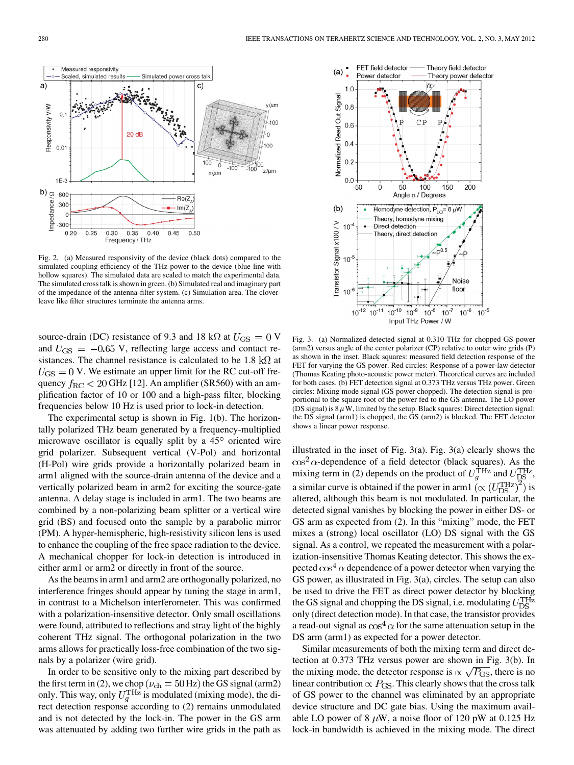

Fig. 2. (a) Measured responsivity of the device (black dots) compared to the simulated coupling efficiency of the THz power to the device (blue line with hollow squares). The simulated data are scaled to match the experimental data. The simulated cross talk is shown in green. (b) Simulated real and imaginary part of the impedance of the antenna-filter system. (c) Simulation area. The cloverleave like filter structures terminate the antenna arms.

source-drain (DC) resistance of 9.3 and 18 k $\Omega$  at  $U_{\text{GS}} = 0$  V and  $U_{\rm GS} = -0.65$  V, reflecting large access and contact resistances. The channel resistance is calculated to be 1.8  $k\Omega$  at  $U_{\rm GS} = 0$  V. We estimate an upper limit for the RC cut-off frequency  $f_{\rm RC}$  < 20 GHz [12]. An amplifier (SR560) with an amplification factor of 10 or 100 and a high-pass filter, blocking frequencies below 10 Hz is used prior to lock-in detection.

The experimental setup is shown in Fig. 1(b). The horizontally polarized THz beam generated by a frequency-multiplied microwave oscillator is equally split by a  $45^\circ$  oriented wire grid polarizer. Subsequent vertical (V-Pol) and horizontal (H-Pol) wire grids provide a horizontally polarized beam in arm1 aligned with the source-drain antenna of the device and a vertically polarized beam in arm2 for exciting the source-gate antenna. A delay stage is included in arm1. The two beams are combined by a non-polarizing beam splitter or a vertical wire grid (BS) and focused onto the sample by a parabolic mirror (PM). A hyper-hemispheric, high-resistivity silicon lens is used to enhance the coupling of the free space radiation to the device. A mechanical chopper for lock-in detection is introduced in either arm1 or arm2 or directly in front of the source.

As the beams in arm1 and arm2 are orthogonally polarized, no interference fringes should appear by tuning the stage in arm1, in contrast to a Michelson interferometer. This was confirmed with a polarization-insensitive detector. Only small oscillations were found, attributed to reflections and stray light of the highly coherent THz signal. The orthogonal polarization in the two arms allows for practically loss-free combination of the two signals by a polarizer (wire grid).

In order to be sensitive only to the mixing part described by the first term in (2), we chop ( $\nu_{ch} = 50$  Hz) the GS signal (arm2) only. This way, only  $U_q^{\text{THz}}$  is modulated (mixing mode), the direct detection response according to (2) remains unmodulated and is not detected by the lock-in. The power in the GS arm was attenuated by adding two further wire grids in the path as



Fig. 3. (a) Normalized detected signal at 0.310 THz for chopped GS power (arm2) versus angle of the center polarizer (CP) relative to outer wire grids (P) as shown in the inset. Black squares: measured field detection response of the FET for varying the GS power. Red circles: Response of a power-law detector (Thomas Keating photo-acoustic power meter). Theoretical curves are included for both cases. (b) FET detection signal at 0.373 THz versus THz power. Green circles: Mixing mode signal (GS power chopped). The detection signal is proportional to the square root of the power fed to the GS antenna. The LO power (DS signal) is  $8 \mu$ W, limited by the setup. Black squares: Direct detection signal: the DS signal (arm1) is chopped, the GS (arm2) is blocked. The FET detector shows a linear power response.

illustrated in the inset of Fig. 3(a). Fig. 3(a) clearly shows the  $\cos^2 \alpha$ -dependence of a field detector (black squares). As the mixing term in (2) depends on the product of  $U_q^{\text{THz}}$  and  $U_{\text{DS}}^{\text{THz}}$ , a similar curve is obtained if the power in arm  $\left(\propto (U_{DS}^{\text{THz}})^2\right)$  is altered, although this beam is not modulated. In particular, the detected signal vanishes by blocking the power in either DS- or GS arm as expected from (2). In this "mixing" mode, the FET mixes a (strong) local oscillator (LO) DS signal with the GS signal. As a control, we repeated the measurement with a polarization-insensitive Thomas Keating detector. This shows the expected  $\cos^4 \alpha$  dependence of a power detector when varying the GS power, as illustrated in Fig. 3(a), circles. The setup can also be used to drive the FET as direct power detector by blocking the GS signal and chopping the DS signal, i.e. modulating  $U_{DS}^{THz}$ only (direct detection mode). In that case, the transistor provides a read-out signal as  $\cos^4 \alpha$  for the same attenuation setup in the DS arm (arm1) as expected for a power detector.

Similar measurements of both the mixing term and direct detection at 0.373 THz versus power are shown in Fig. 3(b). In the mixing mode, the detector response is  $\propto \sqrt{P_{\rm GS}}$ , there is no linear contribution  $\propto P_{\rm GS}$ . This clearly shows that the cross talk of GS power to the channel was eliminated by an appropriate device structure and DC gate bias. Using the maximum available LO power of 8  $\mu$ W, a noise floor of 120 pW at 0.125 Hz lock-in bandwidth is achieved in the mixing mode. The direct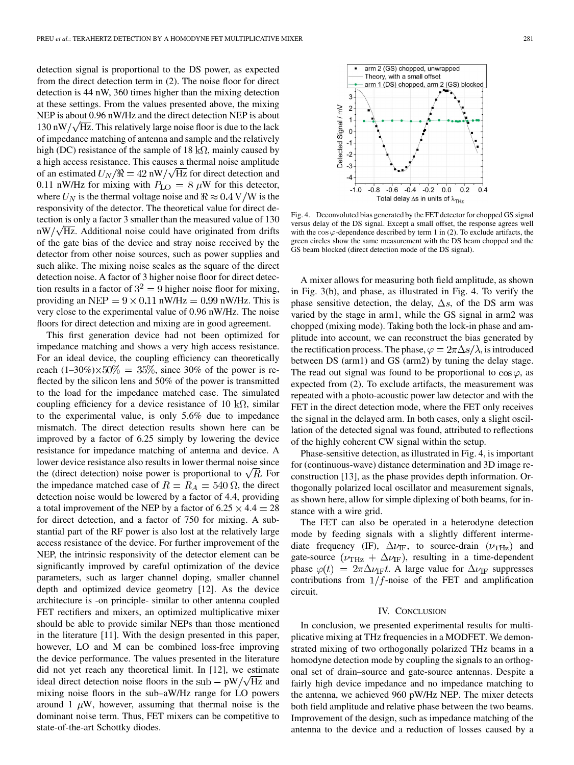detection signal is proportional to the DS power, as expected from the direct detection term in (2). The noise floor for direct detection is 44 nW, 360 times higher than the mixing detection at these settings. From the values presented above, the mixing NEP is about 0.96 nW/Hz and the direct detection NEP is about  $130 \text{ nW}/\sqrt{\text{Hz}}$ . This relatively large noise floor is due to the lack of impedance matching of antenna and sample and the relatively high (DC) resistance of the sample of 18 k $\Omega$ , mainly caused by a high access resistance. This causes a thermal noise amplitude of an estimated  $U_N / \Re = 42 \text{ nW} / \sqrt{\text{Hz}}$  for direct detection and 0.11 nW/Hz for mixing with  $P_{LO} = 8 \mu W$  for this detector, where  $U_N$  is the thermal voltage noise and  $\Re \approx 0.4 \text{ V/W}$  is the responsivity of the detector. The theoretical value for direct detection is only a factor 3 smaller than the measured value of 130  $nW / \sqrt{Hz}$ . Additional noise could have originated from drifts of the gate bias of the device and stray noise received by the detector from other noise sources, such as power supplies and such alike. The mixing noise scales as the square of the direct detection noise. A factor of 3 higher noise floor for direct detection results in a factor of  $3^2 = 9$  higher noise floor for mixing, providing an NEP =  $9 \times 0.11$  nW/Hz = 0.99 nW/Hz. This is very close to the experimental value of 0.96 nW/Hz. The noise floors for direct detection and mixing are in good agreement.

This first generation device had not been optimized for impedance matching and shows a very high access resistance. For an ideal device, the coupling efficiency can theoretically reach  $(1-30\%) \times 50\% = 35\%$ , since 30% of the power is reflected by the silicon lens and 50% of the power is transmitted to the load for the impedance matched case. The simulated coupling efficiency for a device resistance of 10  $k\Omega$ , similar to the experimental value, is only 5.6% due to impedance mismatch. The direct detection results shown here can be improved by a factor of 6.25 simply by lowering the device resistance for impedance matching of antenna and device. A lower device resistance also results in lower thermal noise since the (direct detection) noise power is proportional to  $\sqrt{R}$ . For the impedance matched case of  $R = R_A = 540 \Omega$ , the direct detection noise would be lowered by a factor of 4.4, providing a total improvement of the NEP by a factor of  $6.25 \times 4.4 = 28$ for direct detection, and a factor of 750 for mixing. A substantial part of the RF power is also lost at the relatively large access resistance of the device. For further improvement of the NEP, the intrinsic responsivity of the detector element can be significantly improved by careful optimization of the device parameters, such as larger channel doping, smaller channel depth and optimized device geometry [12]. As the device architecture is -on principle- similar to other antenna coupled FET rectifiers and mixers, an optimized multiplicative mixer should be able to provide similar NEPs than those mentioned in the literature [11]. With the design presented in this paper, however, LO and M can be combined loss-free improving the device performance. The values presented in the literature did not yet reach any theoretical limit. In [12], we estimate ideal direct detection noise floors in the sub  $- pW / \sqrt{Hz}$  and mixing noise floors in the sub–aW/Hz range for LO powers around 1  $\mu$ W, however, assuming that thermal noise is the dominant noise term. Thus, FET mixers can be competitive to state-of-the-art Schottky diodes.



Fig. 4. Deconvoluted bias generated by the FET detector for chopped GS signal versus delay of the DS signal. Except a small offset, the response agrees well with the  $\cos \varphi$ -dependence described by term 1 in (2). To exclude artifacts, the green circles show the same measurement with the DS beam chopped and the GS beam blocked (direct detection mode of the DS signal).

A mixer allows for measuring both field amplitude, as shown in Fig. 3(b), and phase, as illustrated in Fig. 4. To verify the phase sensitive detection, the delay,  $\Delta s$ , of the DS arm was varied by the stage in arm1, while the GS signal in arm2 was chopped (mixing mode). Taking both the lock-in phase and amplitude into account, we can reconstruct the bias generated by the rectification process. The phase,  $\varphi = 2\pi \Delta s / \lambda$ , is introduced between DS (arm1) and GS (arm2) by tuning the delay stage. The read out signal was found to be proportional to  $\cos \varphi$ , as expected from (2). To exclude artifacts, the measurement was repeated with a photo-acoustic power law detector and with the FET in the direct detection mode, where the FET only receives the signal in the delayed arm. In both cases, only a slight oscillation of the detected signal was found, attributed to reflections of the highly coherent CW signal within the setup.

Phase-sensitive detection, as illustrated in Fig. 4, is important for (continuous-wave) distance determination and 3D image reconstruction [13], as the phase provides depth information. Orthogonally polarized local oscillator and measurement signals, as shown here, allow for simple diplexing of both beams, for instance with a wire grid.

The FET can also be operated in a heterodyne detection mode by feeding signals with a slightly different intermediate frequency (IF),  $\Delta \nu_{\text{IF}}$ , to source-drain  $(\nu_{\text{THz}})$  and gate-source ( $\nu_{\text{THz}} + \Delta \nu_{\text{IF}}$ ), resulting in a time-dependent phase  $\varphi(t) = 2\pi \Delta \nu_{\text{IF}} t$ . A large value for  $\Delta \nu_{\text{IF}}$  suppresses contributions from  $1/f$ -noise of the FET and amplification circuit.

## IV. CONCLUSION

In conclusion, we presented experimental results for multiplicative mixing at THz frequencies in a MODFET. We demonstrated mixing of two orthogonally polarized THz beams in a homodyne detection mode by coupling the signals to an orthogonal set of drain–source and gate-source antennas. Despite a fairly high device impedance and no impedance matching to the antenna, we achieved 960 pW/Hz NEP. The mixer detects both field amplitude and relative phase between the two beams. Improvement of the design, such as impedance matching of the antenna to the device and a reduction of losses caused by a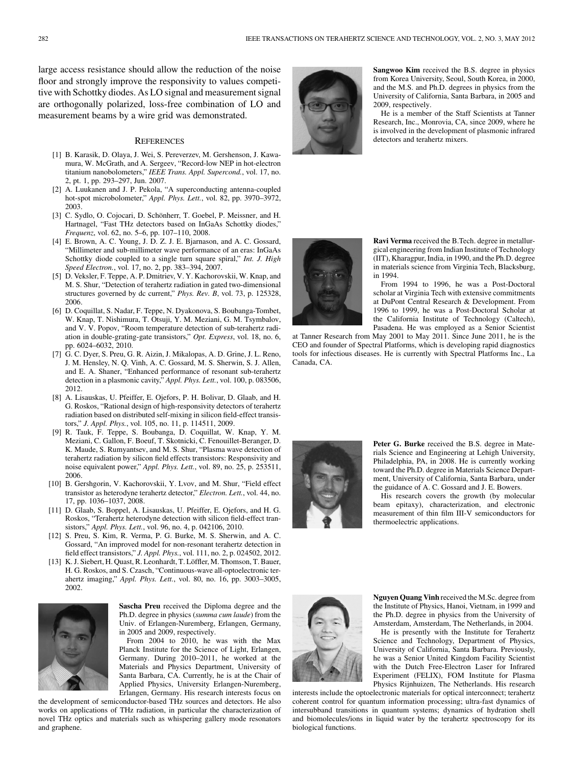large access resistance should allow the reduction of the noise floor and strongly improve the responsivity to values competitive with Schottky diodes. As LO signal and measurement signal are orthogonally polarized, loss-free combination of LO and measurement beams by a wire grid was demonstrated.

#### **REFERENCES**

- [1] B. Karasik, D. Olaya, J. Wei, S. Pereverzev, M. Gershenson, J. Kawamura, W. McGrath, and A. Sergeev, "Record-low NEP in hot-electron titanium nanobolometers," *IEEE Trans. Appl. Supercond.*, vol. 17, no. 2, pt. 1, pp. 293–297, Jun. 2007.
- [2] A. Luukanen and J. P. Pekola, "A superconducting antenna-coupled hot-spot microbolometer," *Appl. Phys. Lett.*, vol. 82, pp. 3970–3972, 2003.
- [3] C. Sydlo, O. Cojocari, D. Schönherr, T. Goebel, P. Meissner, and H. Hartnagel, "Fast THz detectors based on InGaAs Schottky diodes," *Frequenz*, vol. 62, no. 5–6, pp. 107–110, 2008.
- [4] E. Brown, A. C. Young, J. D. Z. J. E. Bjarnason, and A. C. Gossard, "Millimeter and sub-millimeter wave performance of an eras: InGaAs Schottky diode coupled to a single turn square spiral," *Int. J. High Speed Electron.*, vol. 17, no. 2, pp. 383–394, 2007.
- [5] D. Veksler, F. Teppe, A. P. Dmitriev, V. Y. Kachorovskii, W. Knap, and M. S. Shur, "Detection of terahertz radiation in gated two-dimensional structures governed by dc current," *Phys. Rev. B*, vol. 73, p. 125328, 2006.
- [6] D. Coquillat, S. Nadar, F. Teppe, N. Dyakonova, S. Boubanga-Tombet, W. Knap, T. Nishimura, T. Otsuji, Y. M. Meziani, G. M. Tsymbalov, and V. V. Popov, "Room temperature detection of sub-terahertz radiation in double-grating-gate transistors," *Opt. Express*, vol. 18, no. 6, pp. 6024–6032, 2010.
- [7] G. C. Dyer, S. Preu, G. R. Aizin, J. Mikalopas, A. D. Grine, J. L. Reno, J. M. Hensley, N. Q. Vinh, A. C. Gossard, M. S. Sherwin, S. J. Allen, and E. A. Shaner, "Enhanced performance of resonant sub-terahertz detection in a plasmonic cavity," *Appl. Phys. Lett.*, vol. 100, p. 083506, 2012.
- [8] A. Lisauskas, U. Pfeiffer, E. Ojefors, P. H. Bolivar, D. Glaab, and H. G. Roskos, "Rational design of high-responsivity detectors of terahertz radiation based on distributed self-mixing in silicon field-effect transistors," *J. Appl. Phys.*, vol. 105, no. 11, p. 114511, 2009.
- [9] R. Tauk, F. Teppe, S. Boubanga, D. Coquillat, W. Knap, Y. M. Meziani, C. Gallon, F. Boeuf, T. Skotnicki, C. Fenouillet-Beranger, D. K. Maude, S. Rumyantsev, and M. S. Shur, "Plasma wave detection of terahertz radiation by silicon field effects transistors: Responsivity and noise equivalent power," *Appl. Phys. Lett.*, vol. 89, no. 25, p. 253511, 2006.
- [10] B. Gershgorin, V. Kachorovskii, Y. Lvov, and M. Shur, "Field effect transistor as heterodyne terahertz detector," *Electron. Lett.*, vol. 44, no. 17, pp. 1036–1037, 2008.
- [11] D. Glaab, S. Boppel, A. Lisauskas, U. Pfeiffer, E. Ojefors, and H. G. Roskos, "Terahertz heterodyne detection with silicon field-effect transistors," *Appl. Phys. Lett.*, vol. 96, no. 4, p. 042106, 2010.
- [12] S. Preu, S. Kim, R. Verma, P. G. Burke, M. S. Sherwin, and A. C. Gossard, "An improved model for non-resonant terahertz detection in field effect transistors," *J. Appl. Phys.*, vol. 111, no. 2, p. 024502, 2012.
- [13] K. J. Siebert, H. Quast, R. Leonhardt, T. Löffler, M. Thomson, T. Bauer, H. G. Roskos, and S. Czasch, "Continuous-wave all-optoelectronic terahertz imaging," *Appl. Phys. Lett.*, vol. 80, no. 16, pp. 3003–3005, 2002.



**Sascha Preu** received the Diploma degree and the Ph.D. degree in physics (*summa cum laude*) from the Univ. of Erlangen-Nuremberg, Erlangen, Germany, in 2005 and 2009, respectively.

From 2004 to 2010, he was with the Max Planck Institute for the Science of Light, Erlangen, Germany. During 2010–2011, he worked at the Materials and Physics Department, University of Santa Barbara, CA. Currently, he is at the Chair of Applied Physics, University Erlangen-Nuremberg,

Erlangen, Germany. His research interests focus on the development of semiconductor-based THz sources and detectors. He also works on applications of THz radiation, in particular the characterization of novel THz optics and materials such as whispering gallery mode resonators and graphene.



**Sangwoo Kim** received the B.S. degree in physics from Korea University, Seoul, South Korea, in 2000, and the M.S. and Ph.D. degrees in physics from the University of California, Santa Barbara, in 2005 and 2009, respectively.

He is a member of the Staff Scientists at Tanner Research, Inc., Monrovia, CA, since 2009, where he is involved in the development of plasmonic infrared detectors and terahertz mixers.



**Ravi Verma** received the B.Tech. degree in metallurgical engineering from Indian Institute of Technology (IIT), Kharagpur, India, in 1990, and the Ph.D. degree in materials science from Virginia Tech, Blacksburg, in 1994.

From 1994 to 1996, he was a Post-Doctoral scholar at Virginia Tech with extensive commitments at DuPont Central Research & Development. From 1996 to 1999, he was a Post-Doctoral Scholar at the California Institute of Technology (Caltech), Pasadena. He was employed as a Senior Scientist

at Tanner Research from May 2001 to May 2011. Since June 2011, he is the CEO and founder of Spectral Platforms, which is developing rapid diagnostics tools for infectious diseases. He is currently with Spectral Platforms Inc., La Canada, CA.



**Peter G. Burke** received the B.S. degree in Materials Science and Engineering at Lehigh University, Philadelphia, PA, in 2008. He is currently working toward the Ph.D. degree in Materials Science Department, University of California, Santa Barbara, under the guidance of A. C. Gossard and J. E. Bowers.

His research covers the growth (by molecular beam epitaxy), characterization, and electronic measurement of thin film III-V semiconductors for thermoelectric applications.



**Nguyen Quang Vinh** received the M.Sc. degree from the Institute of Physics, Hanoi, Vietnam, in 1999 and the Ph.D. degree in physics from the University of Amsterdam, Amsterdam, The Netherlands, in 2004.

He is presently with the Institute for Terahertz Science and Technology, Department of Physics, University of California, Santa Barbara. Previously, he was a Senior United Kingdom Facility Scientist with the Dutch Free-Electron Laser for Infrared Experiment (FELIX), FOM Institute for Plasma Physics Rijnhuizen, The Netherlands. His research

interests include the optoelectronic materials for optical interconnect; terahertz coherent control for quantum information processing; ultra-fast dynamics of intersubband transitions in quantum systems; dynamics of hydration shell and biomolecules/ions in liquid water by the terahertz spectroscopy for its biological functions.